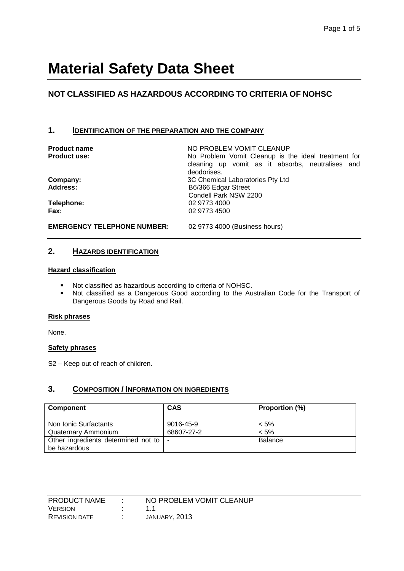# **NOT CLASSIFIED AS HAZARDOUS ACCORDING TO CRITERIA OF NOHSC**

### **1. IDENTIFICATION OF THE PREPARATION AND THE COMPANY**

**Product name**  $\qquad \qquad \text{NO PROBLEM VOMIT CLEANUP}$ **Product use:** No Problem Vomit Cleanup is the ideal treatment for cleaning up vomit as it absorbs, neutralises and deodorises. **Company:** 3C Chemical Laboratories Pty Ltd Address: B6/366 Edgar Street Condell Park NSW 2200 **Telephone:** 02 9773 4000 **Fax:** 02 9773 4500

**EMERGENCY TELEPHONE NUMBER:** 02 9773 4000 (Business hours)

### **2. HAZARDS IDENTIFICATION**

#### **Hazard classification**

- Not classified as hazardous according to criteria of NOHSC.<br>Not classified as a Dangerous Good according to the Au
- Not classified as a Dangerous Good according to the Australian Code for the Transport of Dangerous Goods by Road and Rail.

#### **Risk phrases**

None.

#### **Safety phrases**

S2 – Keep out of reach of children.

### **3. COMPOSITION / INFORMATION ON INGREDIENTS**

| <b>Component</b>                    | <b>CAS</b>               | Proportion (%) |
|-------------------------------------|--------------------------|----------------|
|                                     |                          |                |
| Non Ionic Surfactants               | 9016-45-9                | $< 5\%$        |
| Quaternary Ammonium                 | 68607-27-2               | $< 5\%$        |
| Other ingredients determined not to | $\overline{\phantom{a}}$ | Balance        |
| be hazardous                        |                          |                |

| <b>PRODUCT NAME</b>  | NO PROBLEM VOMIT CLEANUP |
|----------------------|--------------------------|
| <b>VERSION</b>       | 11                       |
| <b>REVISION DATE</b> | JANUARY. 2013            |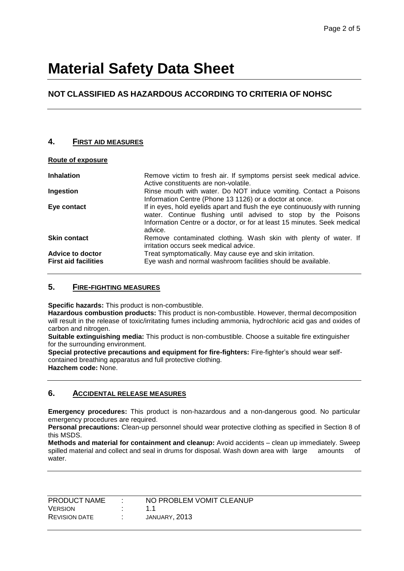# **NOT CLASSIFIED AS HAZARDOUS ACCORDING TO CRITERIA OF NOHSC**

# **4. FIRST AID MEASURES**

| Route of exposure                               |                                                                                                                                                                                                                                    |
|-------------------------------------------------|------------------------------------------------------------------------------------------------------------------------------------------------------------------------------------------------------------------------------------|
| <b>Inhalation</b>                               | Remove victim to fresh air. If symptoms persist seek medical advice.<br>Active constituents are non-volatile.                                                                                                                      |
| Ingestion                                       | Rinse mouth with water. Do NOT induce vomiting. Contact a Poisons<br>Information Centre (Phone 13 1126) or a doctor at once.                                                                                                       |
| Eye contact                                     | If in eyes, hold eyelids apart and flush the eye continuously with running<br>water. Continue flushing until advised to stop by the Poisons<br>Information Centre or a doctor, or for at least 15 minutes. Seek medical<br>advice. |
| <b>Skin contact</b>                             | Remove contaminated clothing. Wash skin with plenty of water. If<br>irritation occurs seek medical advice.                                                                                                                         |
| Advice to doctor<br><b>First aid facilities</b> | Treat symptomatically. May cause eye and skin irritation.<br>Eye wash and normal washroom facilities should be available.                                                                                                          |

## **5. FIRE-FIGHTING MEASURES**

**Specific hazards:** This product is non-combustible.

**Hazardous combustion products:** This product is non-combustible. However, thermal decomposition will result in the release of toxic/irritating fumes including ammonia, hydrochloric acid gas and oxides of carbon and nitrogen.

**Suitable extinguishing media:** This product is non-combustible. Choose a suitable fire extinguisher for the surrounding environment.

**Special protective precautions and equipment for fire-fighters:** Fire-fighter's should wear selfcontained breathing apparatus and full protective clothing. **Hazchem code:** None.

## **6. ACCIDENTAL RELEASE MEASURES**

**Emergency procedures:** This product is non-hazardous and a non-dangerous good. No particular emergency procedures are required.

**Personal precautions:** Clean-up personnel should wear protective clothing as specified in Section 8 of this MSDS.

**Methods and material for containment and cleanup:** Avoid accidents – clean up immediately. Sweep spilled material and collect and seal in drums for disposal. Wash down area with large amounts of water.

| PRODUCT NAME         | NO PROBLEM VOMIT CLEANUP |
|----------------------|--------------------------|
| <b>VERSION</b>       | 11                       |
| <b>REVISION DATE</b> | JANUARY, 2013            |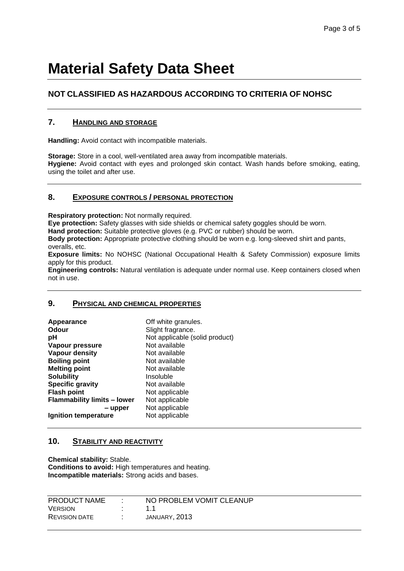# **NOT CLASSIFIED AS HAZARDOUS ACCORDING TO CRITERIA OF NOHSC**

## **7. HANDLING AND STORAGE**

**Handling:** Avoid contact with incompatible materials.

**Storage:** Store in a cool, well-ventilated area away from incompatible materials. **Hygiene:** Avoid contact with eyes and prolonged skin contact. Wash hands before smoking, eating, using the toilet and after use.

# **8. EXPOSURE CONTROLS / PERSONAL PROTECTION**

**Respiratory protection:** Not normally required.

**Eye protection:** Safety glasses with side shields or chemical safety goggles should be worn.

**Hand protection:** Suitable protective gloves (e.g. PVC or rubber) should be worn.

**Body protection:** Appropriate protective clothing should be worn e.g. long-sleeved shirt and pants, overalls, etc.

**Exposure limits:** No NOHSC (National Occupational Health & Safety Commission) exposure limits apply for this product.

**Engineering controls:** Natural ventilation is adequate under normal use. Keep containers closed when not in use.

#### **9. PHYSICAL AND CHEMICAL PROPERTIES**

| Appearance                         | Off white granules.            |
|------------------------------------|--------------------------------|
| Odour                              | Slight fragrance.              |
| рH                                 | Not applicable (solid product) |
| Vapour pressure                    | Not available                  |
| <b>Vapour density</b>              | Not available                  |
| <b>Boiling point</b>               | Not available                  |
| <b>Melting point</b>               | Not available                  |
| <b>Solubility</b>                  | Insoluble                      |
| <b>Specific gravity</b>            | Not available                  |
| <b>Flash point</b>                 | Not applicable                 |
| <b>Flammability limits - lower</b> | Not applicable                 |
| – upper                            | Not applicable                 |
| Ignition temperature               | Not applicable                 |
|                                    |                                |

## **10. STABILITY AND REACTIVITY**

**Chemical stability:** Stable. **Conditions to avoid:** High temperatures and heating. **Incompatible materials:** Strong acids and bases.

| PRODUCT NAME         | NO PROBLEM VOMIT CLEANUP |
|----------------------|--------------------------|
| <b>VERSION</b>       |                          |
| <b>REVISION DATE</b> | JANUARY, 2013            |
|                      |                          |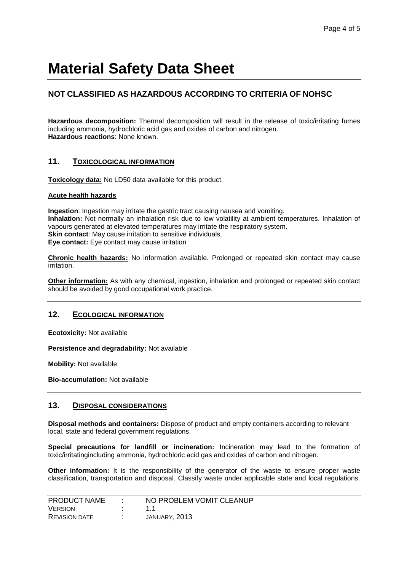# **NOT CLASSIFIED AS HAZARDOUS ACCORDING TO CRITERIA OF NOHSC**

**Hazardous decomposition:** Thermal decomposition will result in the release of toxic/irritating fumes including ammonia, hydrochloric acid gas and oxides of carbon and nitrogen. **Hazardous reactions**: None known.

## **11. TOXICOLOGICAL INFORMATION**

**Toxicology data:** No LD50 data available for this product.

#### **Acute health hazards**

**Ingestion**: Ingestion may irritate the gastric tract causing nausea and vomiting. **Inhalation:** Not normally an inhalation risk due to low volatility at ambient temperatures. Inhalation of vapours generated at elevated temperatures may irritate the respiratory system. **Skin contact:** May cause irritation to sensitive individuals. **Eye contact:** Eye contact may cause irritation

**Chronic health hazards:** No information available. Prolonged or repeated skin contact may cause irritation.

**Other information:** As with any chemical, ingestion, inhalation and prolonged or repeated skin contact should be avoided by good occupational work practice.

## **12. ECOLOGICAL INFORMATION**

**Ecotoxicity:** Not available

**Persistence and degradability:** Not available

**Mobility:** Not available

**Bio-accumulation:** Not available

#### **13. DISPOSAL CONSIDERATIONS**

**Disposal methods and containers:** Dispose of product and empty containers according to relevant local, state and federal government regulations.

**Special precautions for landfill or incineration:** Incineration may lead to the formation of toxic/irritatingincluding ammonia, hydrochloric acid gas and oxides of carbon and nitrogen.

**Other information:** It is the responsibility of the generator of the waste to ensure proper waste classification, transportation and disposal. Classify waste under applicable state and local regulations.

| PRODUCT NAME         | NO PROBLEM VOMIT CLEANUP |
|----------------------|--------------------------|
| <b>VERSION</b>       |                          |
| <b>REVISION DATE</b> | JANUARY, 2013            |